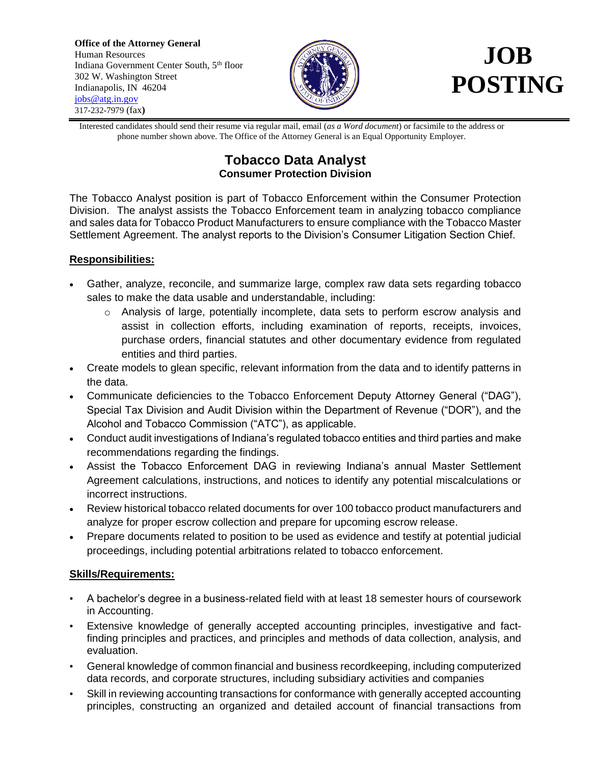**Office of the Attorney General** Human Resources Indiana Government Center South, 5<sup>th</sup> floor 302 W. Washington Street Indianapolis, IN 46204 [jobs@atg.in.gov](mailto:jobs@atg.in.gov) 317-232-7979 (fax**)**



## **POSTING**

Interested candidates should send their resume via regular mail, email (*as a Word document*) or facsimile to the address or phone number shown above. The Office of the Attorney General is an Equal Opportunity Employer.

## **Tobacco Data Analyst Consumer Protection Division**

The Tobacco Analyst position is part of Tobacco Enforcement within the Consumer Protection Division. The analyst assists the Tobacco Enforcement team in analyzing tobacco compliance and sales data for Tobacco Product Manufacturers to ensure compliance with the Tobacco Master Settlement Agreement. The analyst reports to the Division's Consumer Litigation Section Chief.

## **Responsibilities:**

- Gather, analyze, reconcile, and summarize large, complex raw data sets regarding tobacco sales to make the data usable and understandable, including:
	- o Analysis of large, potentially incomplete, data sets to perform escrow analysis and assist in collection efforts, including examination of reports, receipts, invoices, purchase orders, financial statutes and other documentary evidence from regulated entities and third parties.
- Create models to glean specific, relevant information from the data and to identify patterns in the data.
- Communicate deficiencies to the Tobacco Enforcement Deputy Attorney General ("DAG"), Special Tax Division and Audit Division within the Department of Revenue ("DOR"), and the Alcohol and Tobacco Commission ("ATC"), as applicable.
- Conduct audit investigations of Indiana's regulated tobacco entities and third parties and make recommendations regarding the findings.
- Assist the Tobacco Enforcement DAG in reviewing Indiana's annual Master Settlement Agreement calculations, instructions, and notices to identify any potential miscalculations or incorrect instructions.
- Review historical tobacco related documents for over 100 tobacco product manufacturers and analyze for proper escrow collection and prepare for upcoming escrow release.
- Prepare documents related to position to be used as evidence and testify at potential judicial proceedings, including potential arbitrations related to tobacco enforcement.

## **Skills/Requirements:**

- A bachelor's degree in a business-related field with at least 18 semester hours of coursework in Accounting.
- Extensive knowledge of generally accepted accounting principles, investigative and factfinding principles and practices, and principles and methods of data collection, analysis, and evaluation.
- General knowledge of common financial and business recordkeeping, including computerized data records, and corporate structures, including subsidiary activities and companies
- Skill in reviewing accounting transactions for conformance with generally accepted accounting principles, constructing an organized and detailed account of financial transactions from